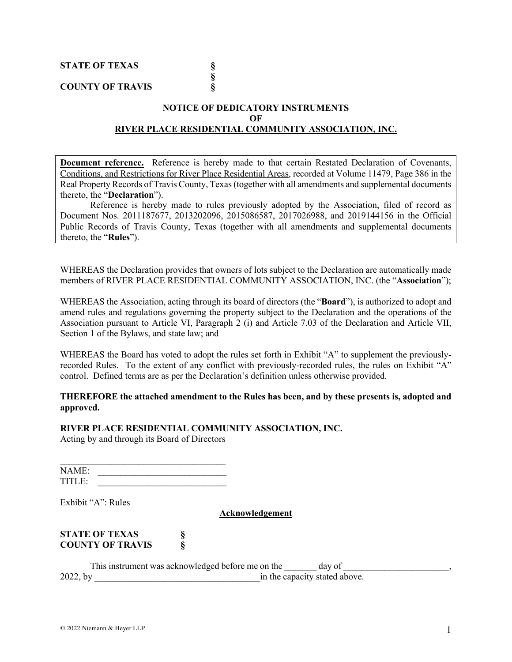**STATE OF TEXAS §**

**COUNTY OF TRAVIS §**

## **NOTICE OF DEDICATORY INSTRUMENTS OF RIVER PLACE RESIDENTIAL COMMUNITY ASSOCIATION, INC.**

**§**

**Document reference.** Reference is hereby made to that certain Restated Declaration of Covenants, Conditions, and Restrictions for River Place Residential Areas, recorded at Volume 11479, Page 386 in the Real Property Records of Travis County, Texas(together with all amendments and supplemental documents thereto, the "**Declaration**").

Reference is hereby made to rules previously adopted by the Association, filed of record as Document Nos. 2011187677, 2013202096, 2015086587, 2017026988, and 2019144156 in the Official Public Records of Travis County, Texas (together with all amendments and supplemental documents thereto, the "**Rules**").

WHEREAS the Declaration provides that owners of lots subject to the Declaration are automatically made members of RIVER PLACE RESIDENTIAL COMMUNITY ASSOCIATION, INC. (the "**Association**");

WHEREAS the Association, acting through its board of directors (the "**Board**"), is authorized to adopt and amend rules and regulations governing the property subject to the Declaration and the operations of the Association pursuant to Article VI, Paragraph 2 (i) and Article 7.03 of the Declaration and Article VII, Section 1 of the Bylaws, and state law; and

WHEREAS the Board has voted to adopt the rules set forth in Exhibit "A" to supplement the previouslyrecorded Rules. To the extent of any conflict with previously-recorded rules, the rules on Exhibit "A" control. Defined terms are as per the Declaration's definition unless otherwise provided.

### **THEREFORE the attached amendment to the Rules has been, and by these presents is, adopted and approved.**

## **RIVER PLACE RESIDENTIAL COMMUNITY ASSOCIATION, INC.**

Acting by and through its Board of Directors

| NAME:  |  |
|--------|--|
| TITLE. |  |

Exhibit "A": Rules

#### **Acknowledgement**

## **STATE OF TEXAS § COUNTY OF TRAVIS §**

This instrument was acknowledged before me on the day of 2022, by \_\_\_\_\_\_\_\_\_\_\_\_\_\_\_\_\_\_\_\_\_\_\_\_\_\_\_\_\_\_\_\_\_\_\_\_in the capacity stated above.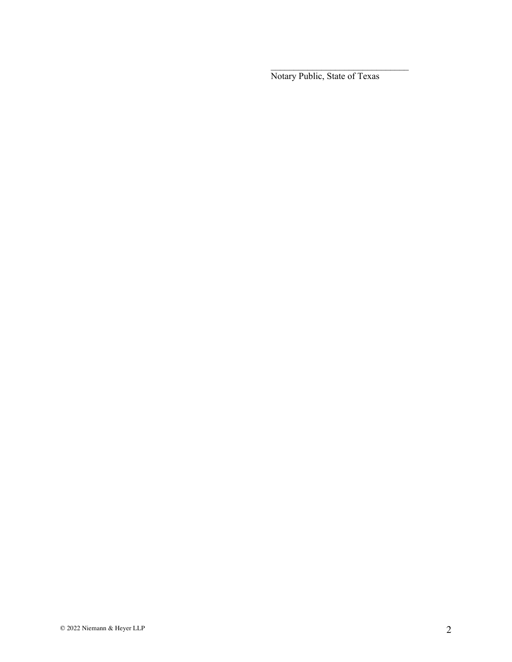Notary Public, State of Texas

 $\mathcal{L}_\text{max}$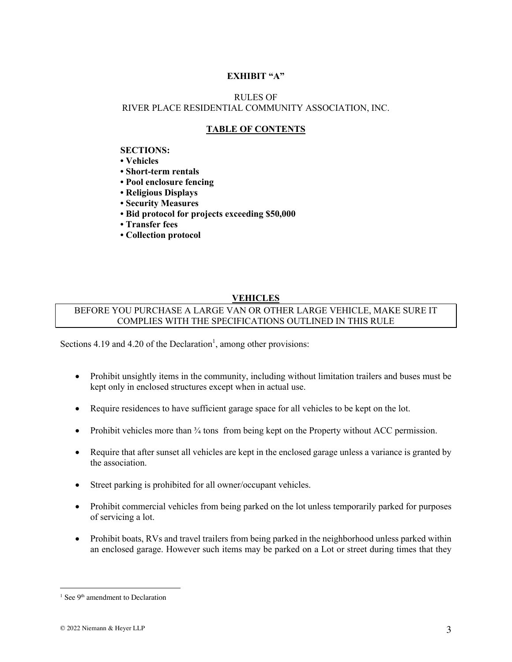# **EXHIBIT "A"**

# RULES OF RIVER PLACE RESIDENTIAL COMMUNITY ASSOCIATION, INC.

## **TABLE OF CONTENTS**

#### **SECTIONS:**

- **Vehicles**
- **Short-term rentals**
- **Pool enclosure fencing**
- **Religious Displays**
- **Security Measures**
- **Bid protocol for projects exceeding \$50,000**
- **Transfer fees**
- **Collection protocol**

## **VEHICLES**

## BEFORE YOU PURCHASE A LARGE VAN OR OTHER LARGE VEHICLE, MAKE SURE IT COMPLIES WITH THE SPECIFICATIONS OUTLINED IN THIS RULE

Sections 4.19 and 4.20 of the Declaration<sup>1</sup>, among other provisions:

- Prohibit unsightly items in the community, including without limitation trailers and buses must be kept only in enclosed structures except when in actual use.
- Require residences to have sufficient garage space for all vehicles to be kept on the lot.
- Prohibit vehicles more than <sup>3</sup>/<sub>4</sub> tons from being kept on the Property without ACC permission.
- Require that after sunset all vehicles are kept in the enclosed garage unless a variance is granted by the association.
- Street parking is prohibited for all owner/occupant vehicles.
- Prohibit commercial vehicles from being parked on the lot unless temporarily parked for purposes of servicing a lot.
- Prohibit boats, RVs and travel trailers from being parked in the neighborhood unless parked within an enclosed garage. However such items may be parked on a Lot or street during times that they

 $1$  See 9<sup>th</sup> amendment to Declaration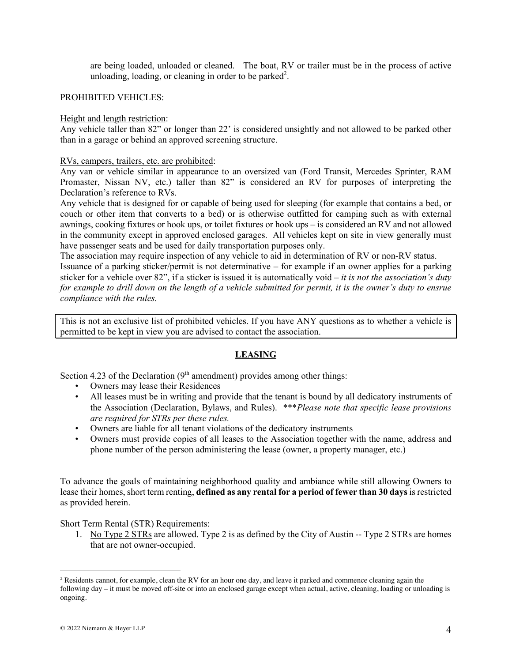are being loaded, unloaded or cleaned. The boat, RV or trailer must be in the process of active unloading, loading, or cleaning in order to be parked<sup>2</sup>.

#### PROHIBITED VEHICLES:

#### Height and length restriction:

Any vehicle taller than 82" or longer than 22' is considered unsightly and not allowed to be parked other than in a garage or behind an approved screening structure.

#### RVs, campers, trailers, etc. are prohibited:

Any van or vehicle similar in appearance to an oversized van (Ford Transit, Mercedes Sprinter, RAM Promaster, Nissan NV, etc.) taller than 82" is considered an RV for purposes of interpreting the Declaration's reference to RVs.

Any vehicle that is designed for or capable of being used for sleeping (for example that contains a bed, or couch or other item that converts to a bed) or is otherwise outfitted for camping such as with external awnings, cooking fixtures or hook ups, or toilet fixtures or hook ups – is considered an RV and not allowed in the community except in approved enclosed garages. All vehicles kept on site in view generally must have passenger seats and be used for daily transportation purposes only.

The association may require inspection of any vehicle to aid in determination of RV or non-RV status. Issuance of a parking sticker/permit is not determinative – for example if an owner applies for a parking sticker for a vehicle over 82", if a sticker is issued it is automatically void *– it is not the association's duty for example to drill down on the length of a vehicle submitted for permit, it is the owner's duty to ensrue compliance with the rules.* 

This is not an exclusive list of prohibited vehicles. If you have ANY questions as to whether a vehicle is permitted to be kept in view you are advised to contact the association.

# **LEASING**

Section 4.23 of the Declaration  $(9<sup>th</sup>$  amendment) provides among other things:

- Owners may lease their Residences
- All leases must be in writing and provide that the tenant is bound by all dedicatory instruments of the Association (Declaration, Bylaws, and Rules). \*\*\**Please note that specific lease provisions are required for STRs per these rules.*
- Owners are liable for all tenant violations of the dedicatory instruments
- Owners must provide copies of all leases to the Association together with the name, address and phone number of the person administering the lease (owner, a property manager, etc.)

To advance the goals of maintaining neighborhood quality and ambiance while still allowing Owners to lease their homes, short term renting, **defined as any rental for a period of fewer than 30 days**is restricted as provided herein.

Short Term Rental (STR) Requirements:

1. No Type 2 STRs are allowed. Type 2 is as defined by the City of Austin -- Type 2 STRs are homes that are not owner-occupied.

 $2$  Residents cannot, for example, clean the RV for an hour one day, and leave it parked and commence cleaning again the following day – it must be moved off-site or into an enclosed garage except when actual, active, cleaning, loading or unloading is ongoing.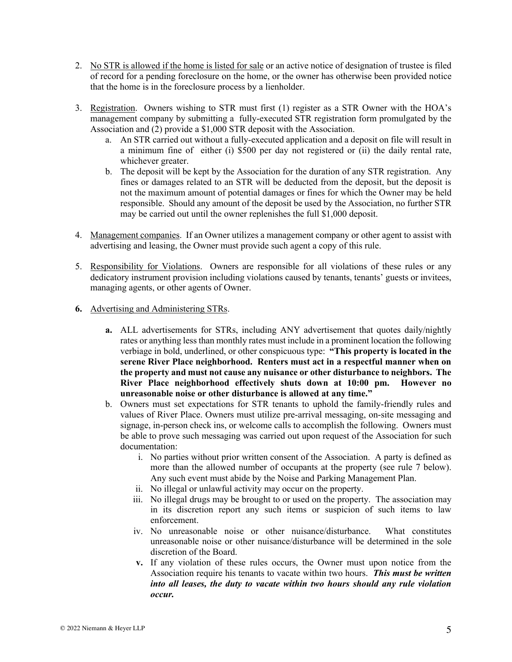- 2. No STR is allowed if the home is listed for sale or an active notice of designation of trustee is filed of record for a pending foreclosure on the home, or the owner has otherwise been provided notice that the home is in the foreclosure process by a lienholder.
- 3. Registration. Owners wishing to STR must first (1) register as a STR Owner with the HOA's management company by submitting a fully-executed STR registration form promulgated by the Association and (2) provide a \$1,000 STR deposit with the Association.
	- a. An STR carried out without a fully-executed application and a deposit on file will result in a minimum fine of either (i) \$500 per day not registered or (ii) the daily rental rate, whichever greater.
	- b. The deposit will be kept by the Association for the duration of any STR registration. Any fines or damages related to an STR will be deducted from the deposit, but the deposit is not the maximum amount of potential damages or fines for which the Owner may be held responsible. Should any amount of the deposit be used by the Association, no further STR may be carried out until the owner replenishes the full \$1,000 deposit.
- 4. Management companies. If an Owner utilizes a management company or other agent to assist with advertising and leasing, the Owner must provide such agent a copy of this rule.
- 5. Responsibility for Violations. Owners are responsible for all violations of these rules or any dedicatory instrument provision including violations caused by tenants, tenants' guests or invitees, managing agents, or other agents of Owner.
- **6.** Advertising and Administering STRs.
	- **a.** ALL advertisements for STRs, including ANY advertisement that quotes daily/nightly rates or anything less than monthly rates must include in a prominent location the following verbiage in bold, underlined, or other conspicuous type: **"This property is located in the serene River Place neighborhood. Renters must act in a respectful manner when on the property and must not cause any nuisance or other disturbance to neighbors. The River Place neighborhood effectively shuts down at 10:00 pm. However no unreasonable noise or other disturbance is allowed at any time."**
	- b. Owners must set expectations for STR tenants to uphold the family-friendly rules and values of River Place. Owners must utilize pre-arrival messaging, on-site messaging and signage, in-person check ins, or welcome calls to accomplish the following. Owners must be able to prove such messaging was carried out upon request of the Association for such documentation:
		- i. No parties without prior written consent of the Association. A party is defined as more than the allowed number of occupants at the property (see rule 7 below). Any such event must abide by the Noise and Parking Management Plan.
		- ii. No illegal or unlawful activity may occur on the property.
		- iii. No illegal drugs may be brought to or used on the property. The association may in its discretion report any such items or suspicion of such items to law enforcement.
		- iv. No unreasonable noise or other nuisance/disturbance. What constitutes unreasonable noise or other nuisance/disturbance will be determined in the sole discretion of the Board.
		- **v.** If any violation of these rules occurs, the Owner must upon notice from the Association require his tenants to vacate within two hours. *This must be written into all leases, the duty to vacate within two hours should any rule violation occur.*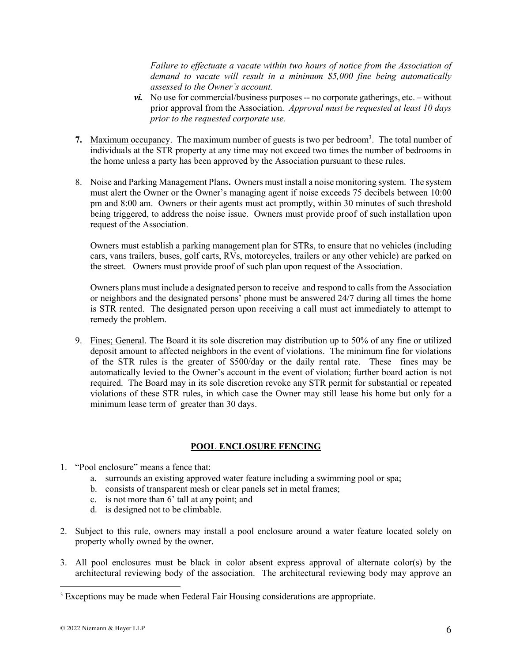*Failure to effectuate a vacate within two hours of notice from the Association of demand to vacate will result in a minimum \$5,000 fine being automatically assessed to the Owner's account.*

- $vi.$  No use for commercial/business purposes  $-$  no corporate gatherings, etc.  $-$  without prior approval from the Association. *Approval must be requested at least 10 days prior to the requested corporate use.*
- 7. Maximum occupancy. The maximum number of guests is two per bedroom<sup>3</sup>. The total number of individuals at the STR property at any time may not exceed two times the number of bedrooms in the home unless a party has been approved by the Association pursuant to these rules.
- 8. Noise and Parking Management Plans**.** Owners must install a noise monitoring system. The system must alert the Owner or the Owner's managing agent if noise exceeds 75 decibels between 10:00 pm and 8:00 am. Owners or their agents must act promptly, within 30 minutes of such threshold being triggered, to address the noise issue. Owners must provide proof of such installation upon request of the Association.

Owners must establish a parking management plan for STRs, to ensure that no vehicles (including cars, vans trailers, buses, golf carts, RVs, motorcycles, trailers or any other vehicle) are parked on the street. Owners must provide proof of such plan upon request of the Association.

Owners plans must include a designated person to receive and respond to calls from the Association or neighbors and the designated persons' phone must be answered 24/7 during all times the home is STR rented. The designated person upon receiving a call must act immediately to attempt to remedy the problem.

9. Fines; General. The Board it its sole discretion may distribution up to 50% of any fine or utilized deposit amount to affected neighbors in the event of violations. The minimum fine for violations of the STR rules is the greater of \$500/day or the daily rental rate. These fines may be automatically levied to the Owner's account in the event of violation; further board action is not required. The Board may in its sole discretion revoke any STR permit for substantial or repeated violations of these STR rules, in which case the Owner may still lease his home but only for a minimum lease term of greater than 30 days.

### **POOL ENCLOSURE FENCING**

- 1. "Pool enclosure" means a fence that:
	- a. surrounds an existing approved water feature including a swimming pool or spa;
	- b. consists of transparent mesh or clear panels set in metal frames;
	- c. is not more than 6' tall at any point; and
	- d. is designed not to be climbable.
- 2. Subject to this rule, owners may install a pool enclosure around a water feature located solely on property wholly owned by the owner.
- 3. All pool enclosures must be black in color absent express approval of alternate color(s) by the architectural reviewing body of the association. The architectural reviewing body may approve an

<sup>3</sup> Exceptions may be made when Federal Fair Housing considerations are appropriate.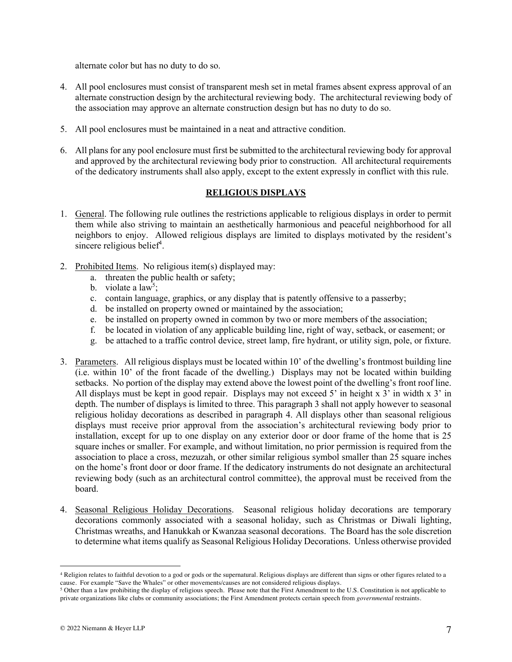alternate color but has no duty to do so.

- 4. All pool enclosures must consist of transparent mesh set in metal frames absent express approval of an alternate construction design by the architectural reviewing body. The architectural reviewing body of the association may approve an alternate construction design but has no duty to do so.
- 5. All pool enclosures must be maintained in a neat and attractive condition.
- 6. All plans for any pool enclosure must first be submitted to the architectural reviewing body for approval and approved by the architectural reviewing body prior to construction. All architectural requirements of the dedicatory instruments shall also apply, except to the extent expressly in conflict with this rule.

## **RELIGIOUS DISPLAYS**

- 1. General. The following rule outlines the restrictions applicable to religious displays in order to permit them while also striving to maintain an aesthetically harmonious and peaceful neighborhood for all neighbors to enjoy. Allowed religious displays are limited to displays motivated by the resident's sincere religious belief<sup>4</sup>.
- 2. Prohibited Items. No religious item(s) displayed may:
	- a. threaten the public health or safety;
	- b. violate a law<sup>5</sup>;
	- c. contain language, graphics, or any display that is patently offensive to a passerby;
	- d. be installed on property owned or maintained by the association;
	- e. be installed on property owned in common by two or more members of the association;
	- f. be located in violation of any applicable building line, right of way, setback, or easement; or
	- g. be attached to a traffic control device, street lamp, fire hydrant, or utility sign, pole, or fixture.
- 3. Parameters. All religious displays must be located within 10' of the dwelling's frontmost building line (i.e. within 10' of the front facade of the dwelling.) Displays may not be located within building setbacks. No portion of the display may extend above the lowest point of the dwelling's front roof line. All displays must be kept in good repair. Displays may not exceed 5' in height x 3' in width x 3' in depth. The number of displays is limited to three. This paragraph 3 shall not apply however to seasonal religious holiday decorations as described in paragraph 4. All displays other than seasonal religious displays must receive prior approval from the association's architectural reviewing body prior to installation, except for up to one display on any exterior door or door frame of the home that is 25 square inches or smaller. For example, and without limitation, no prior permission is required from the association to place a cross, mezuzah, or other similar religious symbol smaller than 25 square inches on the home's front door or door frame. If the dedicatory instruments do not designate an architectural reviewing body (such as an architectural control committee), the approval must be received from the board.
- 4. Seasonal Religious Holiday Decorations. Seasonal religious holiday decorations are temporary decorations commonly associated with a seasonal holiday, such as Christmas or Diwali lighting, Christmas wreaths, and Hanukkah or Kwanzaa seasonal decorations. The Board has the sole discretion to determine what items qualify as Seasonal Religious Holiday Decorations. Unless otherwise provided

<sup>4</sup> Religion relates to faithful devotion to a god or gods or the supernatural. Religious displays are different than signs or other figures related to a cause. For example "Save the Whales" or other movements/causes are not considered religious displays.<br><sup>5</sup> Other than a law prohibiting the display of religious speech. Please note that the First Amendment to the U.S. Const

private organizations like clubs or community associations; the First Amendment protects certain speech from *governmental* restraints.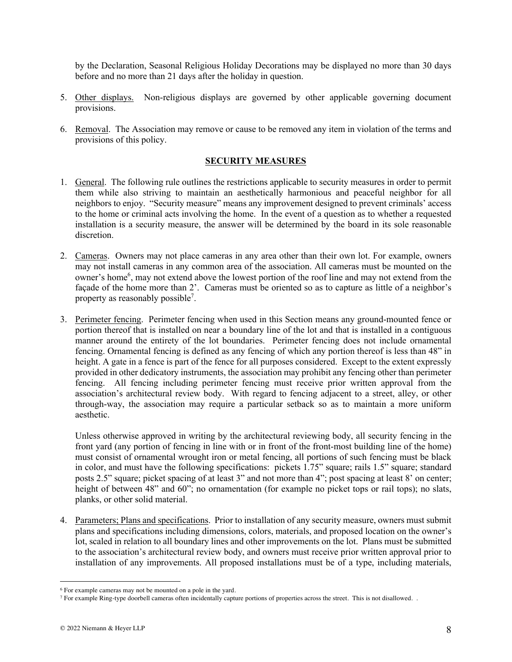by the Declaration, Seasonal Religious Holiday Decorations may be displayed no more than 30 days before and no more than 21 days after the holiday in question.

- 5. Other displays. Non-religious displays are governed by other applicable governing document provisions.
- 6. Removal. The Association may remove or cause to be removed any item in violation of the terms and provisions of this policy.

### **SECURITY MEASURES**

- 1. General. The following rule outlines the restrictions applicable to security measures in order to permit them while also striving to maintain an aesthetically harmonious and peaceful neighbor for all neighbors to enjoy. "Security measure" means any improvement designed to prevent criminals' access to the home or criminal acts involving the home. In the event of a question as to whether a requested installation is a security measure, the answer will be determined by the board in its sole reasonable discretion.
- 2. Cameras. Owners may not place cameras in any area other than their own lot. For example, owners may not install cameras in any common area of the association. All cameras must be mounted on the owner's home<sup>6</sup>, may not extend above the lowest portion of the roof line and may not extend from the façade of the home more than 2'. Cameras must be oriented so as to capture as little of a neighbor's property as reasonably possible<sup>7</sup>.
- 3. Perimeter fencing. Perimeter fencing when used in this Section means any ground-mounted fence or portion thereof that is installed on near a boundary line of the lot and that is installed in a contiguous manner around the entirety of the lot boundaries. Perimeter fencing does not include ornamental fencing. Ornamental fencing is defined as any fencing of which any portion thereof is less than 48" in height. A gate in a fence is part of the fence for all purposes considered. Except to the extent expressly provided in other dedicatory instruments, the association may prohibit any fencing other than perimeter fencing. All fencing including perimeter fencing must receive prior written approval from the association's architectural review body. With regard to fencing adjacent to a street, alley, or other through-way, the association may require a particular setback so as to maintain a more uniform aesthetic.

Unless otherwise approved in writing by the architectural reviewing body, all security fencing in the front yard (any portion of fencing in line with or in front of the front-most building line of the home) must consist of ornamental wrought iron or metal fencing, all portions of such fencing must be black in color, and must have the following specifications: pickets 1.75" square; rails 1.5" square; standard posts 2.5" square; picket spacing of at least 3" and not more than 4"; post spacing at least 8' on center; height of between 48" and 60"; no ornamentation (for example no picket tops or rail tops); no slats, planks, or other solid material.

4. Parameters; Plans and specifications. Prior to installation of any security measure, owners must submit plans and specifications including dimensions, colors, materials, and proposed location on the owner's lot, scaled in relation to all boundary lines and other improvements on the lot. Plans must be submitted to the association's architectural review body, and owners must receive prior written approval prior to installation of any improvements. All proposed installations must be of a type, including materials,

<sup>6</sup> For example cameras may not be mounted on a pole in the yard.

<sup>7</sup> For example Ring-type doorbell cameras often incidentally capture portions of properties across the street. This is not disallowed. .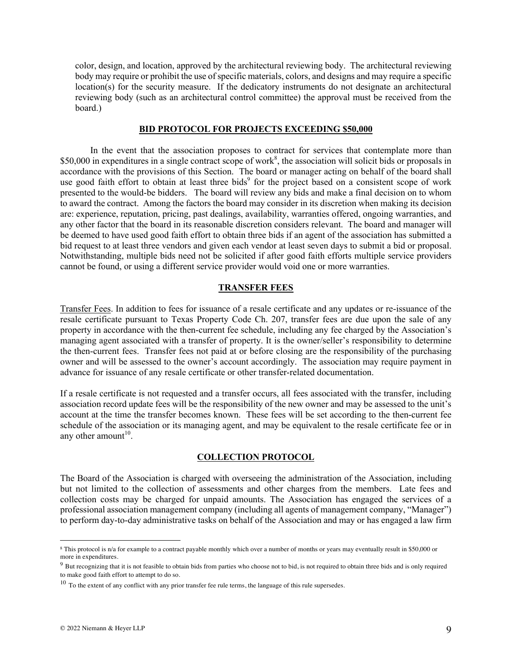color, design, and location, approved by the architectural reviewing body. The architectural reviewing body may require or prohibit the use of specific materials, colors, and designs and may require a specific location(s) for the security measure. If the dedicatory instruments do not designate an architectural reviewing body (such as an architectural control committee) the approval must be received from the board.)

#### **BID PROTOCOL FOR PROJECTS EXCEEDING \$50,000**

In the event that the association proposes to contract for services that contemplate more than \$50,000 in expenditures in a single contract scope of work<sup>8</sup>, the association will solicit bids or proposals in accordance with the provisions of this Section. The board or manager acting on behalf of the board shall use good faith effort to obtain at least three bids<sup>9</sup> for the project based on a consistent scope of work presented to the would-be bidders. The board will review any bids and make a final decision on to whom to award the contract. Among the factors the board may consider in its discretion when making its decision are: experience, reputation, pricing, past dealings, availability, warranties offered, ongoing warranties, and any other factor that the board in its reasonable discretion considers relevant. The board and manager will be deemed to have used good faith effort to obtain three bids if an agent of the association has submitted a bid request to at least three vendors and given each vendor at least seven days to submit a bid or proposal. Notwithstanding, multiple bids need not be solicited if after good faith efforts multiple service providers cannot be found, or using a different service provider would void one or more warranties.

#### **TRANSFER FEES**

Transfer Fees. In addition to fees for issuance of a resale certificate and any updates or re-issuance of the resale certificate pursuant to Texas Property Code Ch. 207, transfer fees are due upon the sale of any property in accordance with the then-current fee schedule, including any fee charged by the Association's managing agent associated with a transfer of property. It is the owner/seller's responsibility to determine the then-current fees. Transfer fees not paid at or before closing are the responsibility of the purchasing owner and will be assessed to the owner's account accordingly. The association may require payment in advance for issuance of any resale certificate or other transfer-related documentation.

If a resale certificate is not requested and a transfer occurs, all fees associated with the transfer, including association record update fees will be the responsibility of the new owner and may be assessed to the unit's account at the time the transfer becomes known. These fees will be set according to the then-current fee schedule of the association or its managing agent, and may be equivalent to the resale certificate fee or in any other amount<sup>10</sup>.

#### **COLLECTION PROTOCOL**

The Board of the Association is charged with overseeing the administration of the Association, including but not limited to the collection of assessments and other charges from the members. Late fees and collection costs may be charged for unpaid amounts. The Association has engaged the services of a professional association management company (including all agents of management company, "Manager") to perform day-to-day administrative tasks on behalf of the Association and may or has engaged a law firm

<sup>8</sup> This protocol is n/a for example to a contract payable monthly which over a number of months or years may eventually result in \$50,000 or more in expenditures.

<sup>&</sup>lt;sup>9</sup> But recognizing that it is not feasible to obtain bids from parties who choose not to bid, is not required to obtain three bids and is only required to make good faith effort to attempt to do so.

 $10$  To the extent of any conflict with any prior transfer fee rule terms, the language of this rule supersedes.